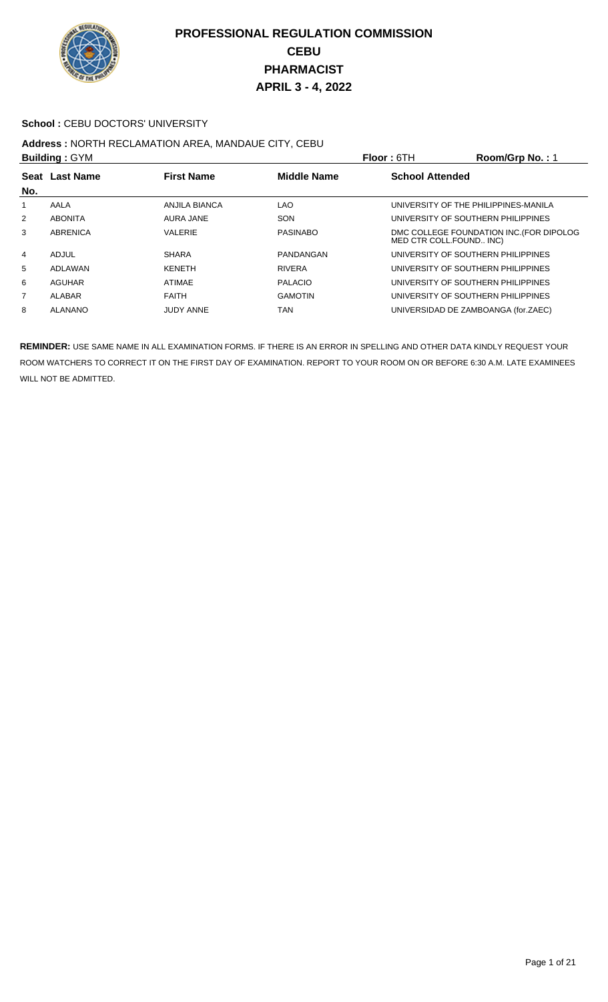

#### School : CEBU DOCTORS' UNIVERSITY

## **Address :** NORTH RECLAMATION AREA, MANDAUE CITY, CEBU

| <b>Building: GYM</b> |                |                   |                    | <b>Floor: 6TH</b>       | Room/Grp No.: 1                          |
|----------------------|----------------|-------------------|--------------------|-------------------------|------------------------------------------|
| No.                  | Seat Last Name | <b>First Name</b> | <b>Middle Name</b> | <b>School Attended</b>  |                                          |
|                      | AALA           | ANJILA BIANCA     | <b>LAO</b>         |                         | UNIVERSITY OF THE PHILIPPINES-MANILA     |
| 2                    | <b>ABONITA</b> | <b>AURA JANE</b>  | SON                |                         | UNIVERSITY OF SOUTHERN PHILIPPINES       |
| 3                    | ABRENICA       | <b>VALERIE</b>    | PASINABO           | MED CTR COLL.FOUND INC) | DMC COLLEGE FOUNDATION INC. (FOR DIPOLOG |
| 4                    | ADJUL          | <b>SHARA</b>      | PANDANGAN          |                         | UNIVERSITY OF SOUTHERN PHILIPPINES       |
| 5                    | ADLAWAN        | <b>KENETH</b>     | <b>RIVERA</b>      |                         | UNIVERSITY OF SOUTHERN PHILIPPINES       |
| 6                    | AGUHAR         | <b>ATIMAE</b>     | <b>PALACIO</b>     |                         | UNIVERSITY OF SOUTHERN PHILIPPINES       |
| 7                    | ALABAR         | <b>FAITH</b>      | <b>GAMOTIN</b>     |                         | UNIVERSITY OF SOUTHERN PHILIPPINES       |
| 8                    | ALANANO        | <b>JUDY ANNE</b>  | TAN                |                         | UNIVERSIDAD DE ZAMBOANGA (for.ZAEC)      |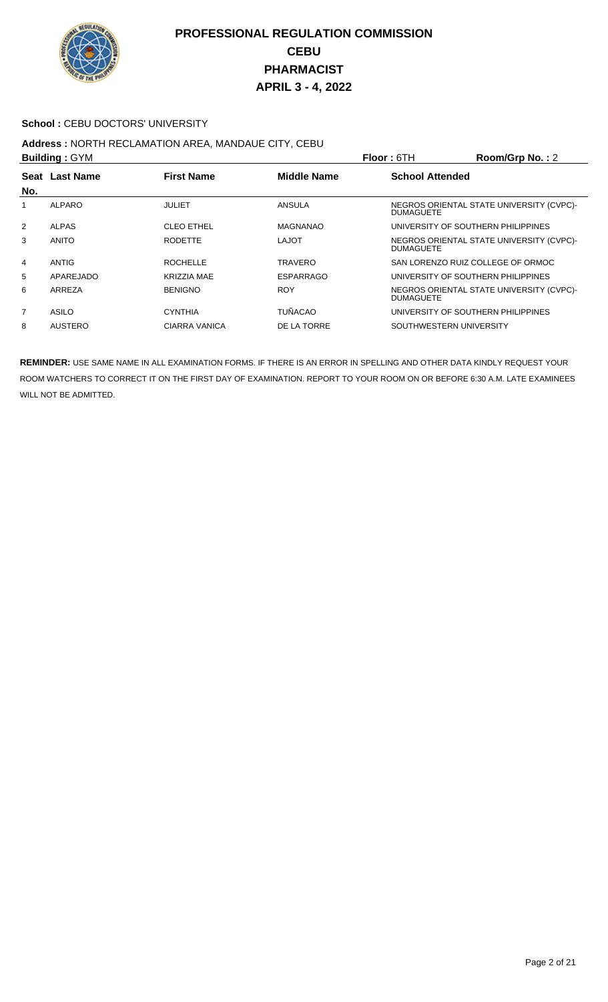

#### School : CEBU DOCTORS' UNIVERSITY

## **Address :** NORTH RECLAMATION AREA, MANDAUE CITY, CEBU

| <b>Building: GYM</b> |                                                           |                    |                  | Floor: 6TH                         | Room/Grp No.: 2                          |  |
|----------------------|-----------------------------------------------------------|--------------------|------------------|------------------------------------|------------------------------------------|--|
|                      | <b>First Name</b><br><b>Middle Name</b><br>Seat Last Name |                    |                  | <b>School Attended</b>             |                                          |  |
| No.                  |                                                           |                    |                  |                                    |                                          |  |
|                      | ALPARO                                                    | <b>JULIET</b>      | ANSULA           | <b>DUMAGUETE</b>                   | NEGROS ORIENTAL STATE UNIVERSITY (CVPC)- |  |
| 2                    | <b>ALPAS</b>                                              | <b>CLEO ETHEL</b>  | <b>MAGNANAO</b>  | UNIVERSITY OF SOUTHERN PHILIPPINES |                                          |  |
| 3                    | <b>ANITO</b>                                              | <b>RODETTE</b>     | <b>LAJOT</b>     | <b>DUMAGUETE</b>                   | NEGROS ORIENTAL STATE UNIVERSITY (CVPC)- |  |
| 4                    | <b>ANTIG</b>                                              | <b>ROCHELLE</b>    | <b>TRAVERO</b>   | SAN LORENZO RUIZ COLLEGE OF ORMOC  |                                          |  |
| 5                    | APAREJADO                                                 | <b>KRIZZIA MAE</b> | <b>ESPARRAGO</b> | UNIVERSITY OF SOUTHERN PHILIPPINES |                                          |  |
| 6                    | ARREZA                                                    | <b>BENIGNO</b>     | <b>ROY</b>       | <b>DUMAGUETE</b>                   | NEGROS ORIENTAL STATE UNIVERSITY (CVPC)- |  |
| $\overline{7}$       | ASILO                                                     | <b>CYNTHIA</b>     | <b>TUÑACAO</b>   | UNIVERSITY OF SOUTHERN PHILIPPINES |                                          |  |
| 8                    | <b>AUSTERO</b>                                            | CIARRA VANICA      | DE LA TORRE      | SOUTHWESTERN UNIVERSITY            |                                          |  |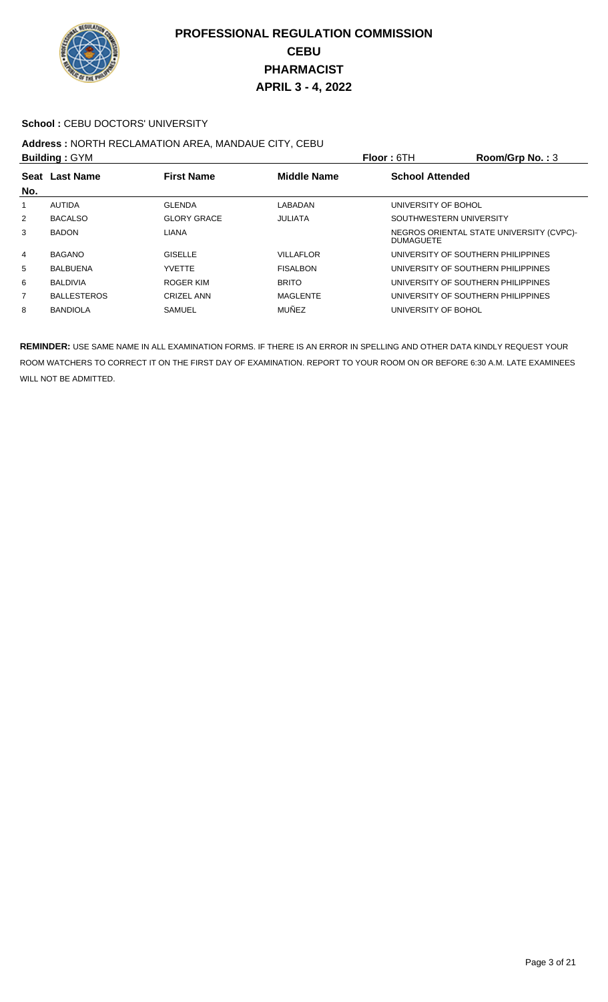

#### School : CEBU DOCTORS' UNIVERSITY

## **Address :** NORTH RECLAMATION AREA, MANDAUE CITY, CEBU

|                | <b>Building: GYM</b> |                    |                    | Room/Grp No.: $3$<br><b>Floor: 6TH</b>                       |  |
|----------------|----------------------|--------------------|--------------------|--------------------------------------------------------------|--|
|                | Seat Last Name       | <b>First Name</b>  | <b>Middle Name</b> | <b>School Attended</b>                                       |  |
| No.            |                      |                    |                    |                                                              |  |
|                | AUTIDA               | <b>GLENDA</b>      | LABADAN            | UNIVERSITY OF BOHOL                                          |  |
| $\overline{2}$ | <b>BACALSO</b>       | <b>GLORY GRACE</b> | <b>JULIATA</b>     | SOUTHWESTERN UNIVERSITY                                      |  |
| 3              | <b>BADON</b>         | <b>LIANA</b>       |                    | NEGROS ORIENTAL STATE UNIVERSITY (CVPC)-<br><b>DUMAGUETE</b> |  |
| 4              | <b>BAGANO</b>        | <b>GISELLE</b>     | <b>VILLAFLOR</b>   | UNIVERSITY OF SOUTHERN PHILIPPINES                           |  |
| 5              | <b>BALBUENA</b>      | <b>YVETTE</b>      | <b>FISALBON</b>    | UNIVERSITY OF SOUTHERN PHILIPPINES                           |  |
| 6              | <b>BALDIVIA</b>      | ROGER KIM          | <b>BRITO</b>       | UNIVERSITY OF SOUTHERN PHILIPPINES                           |  |
| 7              | <b>BALLESTEROS</b>   | <b>CRIZEL ANN</b>  | <b>MAGLENTE</b>    | UNIVERSITY OF SOUTHERN PHILIPPINES                           |  |
| 8              | <b>BANDIOLA</b>      | SAMUEL             | <b>MUÑEZ</b>       | UNIVERSITY OF BOHOL                                          |  |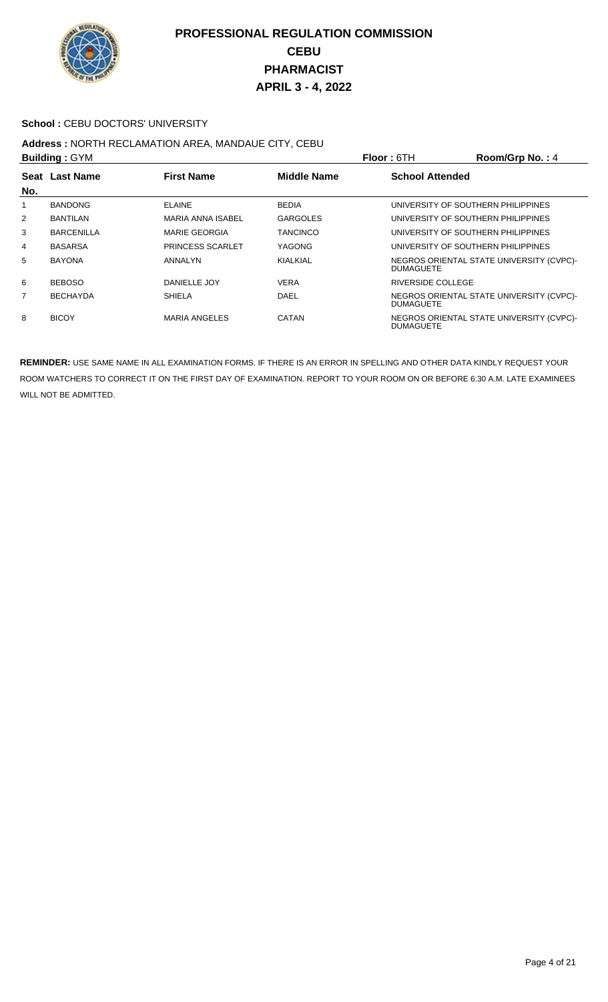

#### School : CEBU DOCTORS' UNIVERSITY

# **Address :** NORTH RECLAMATION AREA, MANDAUE CITY, CEBU

| <b>Building: GYM</b> |                   |                          |                    | Floor: 6TH                         | Room/Grp No.: 4                          |
|----------------------|-------------------|--------------------------|--------------------|------------------------------------|------------------------------------------|
|                      | Seat Last Name    | <b>First Name</b>        | <b>Middle Name</b> | <b>School Attended</b>             |                                          |
| No.                  |                   |                          |                    |                                    |                                          |
| 1                    | <b>BANDONG</b>    | <b>ELAINE</b>            | <b>BEDIA</b>       | UNIVERSITY OF SOUTHERN PHILIPPINES |                                          |
| $\overline{2}$       | <b>BANTILAN</b>   | <b>MARIA ANNA ISABEL</b> | <b>GARGOLES</b>    | UNIVERSITY OF SOUTHERN PHILIPPINES |                                          |
| 3                    | <b>BARCENILLA</b> | <b>MARIE GEORGIA</b>     | <b>TANCINCO</b>    | UNIVERSITY OF SOUTHERN PHILIPPINES |                                          |
| 4                    | <b>BASARSA</b>    | <b>PRINCESS SCARLET</b>  | YAGONG             | UNIVERSITY OF SOUTHERN PHILIPPINES |                                          |
| 5                    | <b>BAYONA</b>     | ANNALYN                  | KIALKIAL           | <b>DUMAGUETE</b>                   | NEGROS ORIENTAL STATE UNIVERSITY (CVPC)- |
| 6                    | <b>BEBOSO</b>     | DANIELLE JOY             | <b>VERA</b>        | RIVERSIDE COLLEGE                  |                                          |
| $\overline{7}$       | <b>BECHAYDA</b>   | <b>SHIELA</b>            | DAEL               | <b>DUMAGUETE</b>                   | NEGROS ORIENTAL STATE UNIVERSITY (CVPC)- |
| 8                    | <b>BICOY</b>      | <b>MARIA ANGELES</b>     | CATAN              | <b>DUMAGUETE</b>                   | NEGROS ORIENTAL STATE UNIVERSITY (CVPC)- |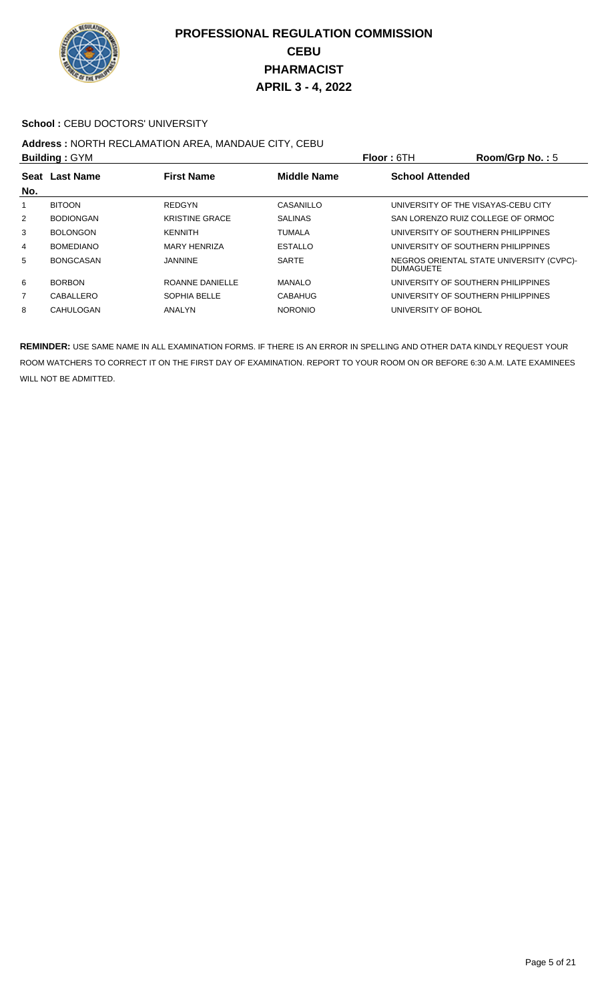

#### School : CEBU DOCTORS' UNIVERSITY

# **Address :** NORTH RECLAMATION AREA, MANDAUE CITY, CEBU

|                | <b>Building: GYM</b> |                       |                    | <b>Floor: 6TH</b>                   | Room/Grp No.: 5                          |
|----------------|----------------------|-----------------------|--------------------|-------------------------------------|------------------------------------------|
| No.            | Seat Last Name       | <b>First Name</b>     | <b>Middle Name</b> | <b>School Attended</b>              |                                          |
|                | <b>BITOON</b>        | <b>REDGYN</b>         | CASANILLO          | UNIVERSITY OF THE VISAYAS-CEBU CITY |                                          |
| $\overline{2}$ | <b>BODIONGAN</b>     | <b>KRISTINE GRACE</b> | <b>SALINAS</b>     | SAN LORENZO RUIZ COLLEGE OF ORMOC   |                                          |
| 3              | <b>BOLONGON</b>      | <b>KENNITH</b>        | TUMALA             | UNIVERSITY OF SOUTHERN PHILIPPINES  |                                          |
| 4              | <b>BOMEDIANO</b>     | <b>MARY HENRIZA</b>   | <b>ESTALLO</b>     | UNIVERSITY OF SOUTHERN PHILIPPINES  |                                          |
| 5              | <b>BONGCASAN</b>     | JANNINE               | <b>SARTE</b>       | <b>DUMAGUETE</b>                    | NEGROS ORIENTAL STATE UNIVERSITY (CVPC)- |
| 6              | <b>BORBON</b>        | ROANNE DANIELLE       | <b>MANALO</b>      | UNIVERSITY OF SOUTHERN PHILIPPINES  |                                          |
| 7              | CABALLERO            | SOPHIA BELLE          | <b>CABAHUG</b>     | UNIVERSITY OF SOUTHERN PHILIPPINES  |                                          |
| 8              | CAHULOGAN            | ANALYN                | <b>NORONIO</b>     | UNIVERSITY OF BOHOL                 |                                          |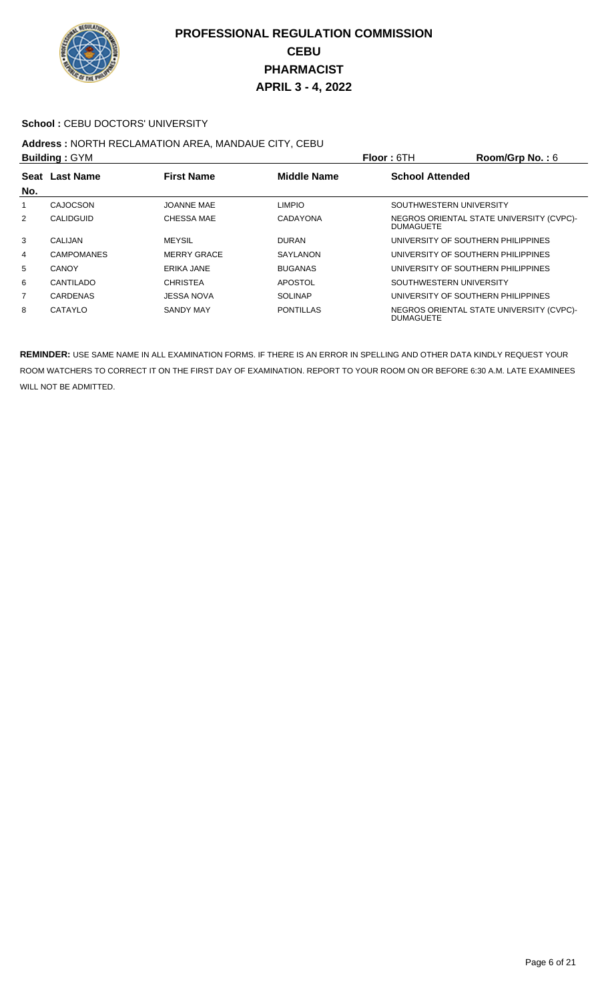

#### School : CEBU DOCTORS' UNIVERSITY

## **Address :** NORTH RECLAMATION AREA, MANDAUE CITY, CEBU

| <b>Building: GYM</b> |                   |                    |                    | Floor: 6TH             | Room/Grp No.: 6                          |
|----------------------|-------------------|--------------------|--------------------|------------------------|------------------------------------------|
| No.                  | Seat Last Name    | <b>First Name</b>  | <b>Middle Name</b> | <b>School Attended</b> |                                          |
| 1                    | CAJOCSON          | <b>JOANNE MAE</b>  | <b>LIMPIO</b>      |                        | SOUTHWESTERN UNIVERSITY                  |
| 2                    | <b>CALIDGUID</b>  | CHESSA MAE         | CADAYONA           | <b>DUMAGUETE</b>       | NEGROS ORIENTAL STATE UNIVERSITY (CVPC)- |
| 3                    | CALIJAN           | <b>MEYSIL</b>      | <b>DURAN</b>       |                        | UNIVERSITY OF SOUTHERN PHILIPPINES       |
| 4                    | <b>CAMPOMANES</b> | <b>MERRY GRACE</b> | SAYLANON           |                        | UNIVERSITY OF SOUTHERN PHILIPPINES       |
| 5                    | CANOY             | ERIKA JANE         | <b>BUGANAS</b>     |                        | UNIVERSITY OF SOUTHERN PHILIPPINES       |
| 6                    | CANTILADO         | <b>CHRISTEA</b>    | <b>APOSTOL</b>     |                        | SOUTHWESTERN UNIVERSITY                  |
| $\overline{7}$       | <b>CARDENAS</b>   | JESSA NOVA         | <b>SOLINAP</b>     |                        | UNIVERSITY OF SOUTHERN PHILIPPINES       |
| 8                    | <b>CATAYLO</b>    | <b>SANDY MAY</b>   | <b>PONTILLAS</b>   | <b>DUMAGUETE</b>       | NEGROS ORIENTAL STATE UNIVERSITY (CVPC)- |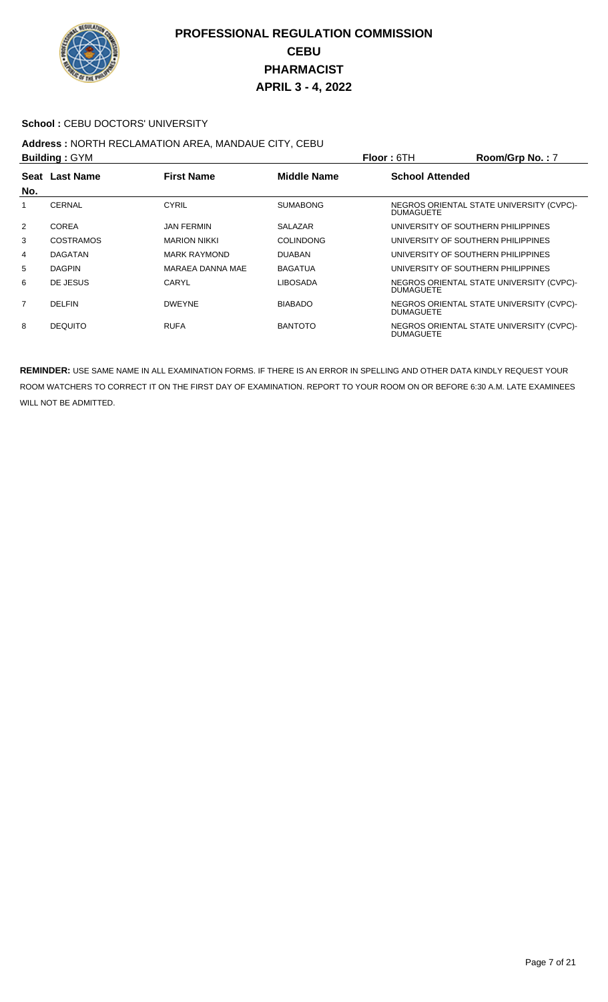

#### School : CEBU DOCTORS' UNIVERSITY

#### **Address :** NORTH RECLAMATION AREA, MANDAUE CITY, CEBU **Building :** GYM **Floor :** 6TH **Room/Grp No. :** 7

| <b>DUILUILLY</b> . <b>DIILUI</b> |                  |                     |                    | FIUUI. UI T<br><b>RUUIIIUID NO.</b> . /                      |
|----------------------------------|------------------|---------------------|--------------------|--------------------------------------------------------------|
| No.                              | Seat Last Name   | <b>First Name</b>   | <b>Middle Name</b> | <b>School Attended</b>                                       |
|                                  | <b>CERNAL</b>    | CYRIL               | <b>SUMABONG</b>    | NEGROS ORIENTAL STATE UNIVERSITY (CVPC)-<br><b>DUMAGUETE</b> |
| 2                                | <b>COREA</b>     | <b>JAN FERMIN</b>   | <b>SALAZAR</b>     | UNIVERSITY OF SOUTHERN PHILIPPINES                           |
| 3                                | <b>COSTRAMOS</b> | <b>MARION NIKKI</b> | <b>COLINDONG</b>   | UNIVERSITY OF SOUTHERN PHILIPPINES                           |
| 4                                | <b>DAGATAN</b>   | <b>MARK RAYMOND</b> | <b>DUABAN</b>      | UNIVERSITY OF SOUTHERN PHILIPPINES                           |
| 5                                | <b>DAGPIN</b>    | MARAEA DANNA MAE    | <b>BAGATUA</b>     | UNIVERSITY OF SOUTHERN PHILIPPINES                           |
| 6                                | DE JESUS         | CARYL               | <b>LIBOSADA</b>    | NEGROS ORIENTAL STATE UNIVERSITY (CVPC)-<br><b>DUMAGUETE</b> |
| $\overline{7}$                   | DEI FIN          | <b>DWFYNF</b>       | <b>BIABADO</b>     | NEGROS ORIENTAL STATE UNIVERSITY (CVPC)-<br><b>DUMAGUETE</b> |
| 8                                | <b>DEQUITO</b>   | <b>RUFA</b>         | <b>BANTOTO</b>     | NEGROS ORIENTAL STATE UNIVERSITY (CVPC)-<br><b>DUMAGUETE</b> |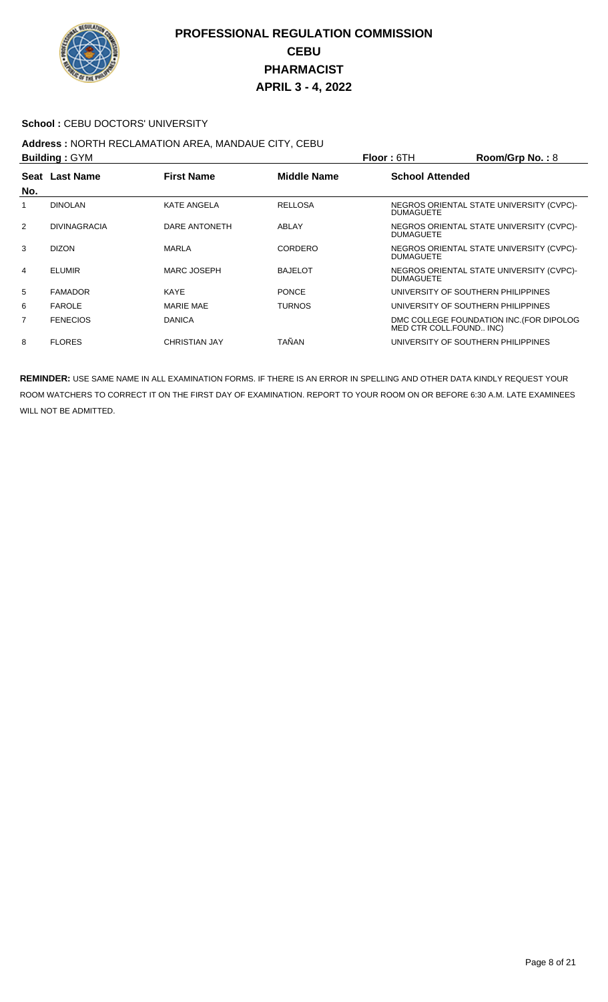

#### School : CEBU DOCTORS' UNIVERSITY

## **Address :** NORTH RECLAMATION AREA, MANDAUE CITY, CEBU

| <b>Building: GYM</b> |                     |                      |                    | <b>Floor: 6TH</b>       | Room/Grp No.: 8                          |
|----------------------|---------------------|----------------------|--------------------|-------------------------|------------------------------------------|
| No.                  | Seat Last Name      | <b>First Name</b>    | <b>Middle Name</b> | <b>School Attended</b>  |                                          |
|                      | <b>DINOLAN</b>      | <b>KATE ANGELA</b>   | <b>RELLOSA</b>     | <b>DUMAGUETE</b>        | NEGROS ORIENTAL STATE UNIVERSITY (CVPC)- |
| 2                    | <b>DIVINAGRACIA</b> | DARE ANTONETH        | ABLAY              | <b>DUMAGUETE</b>        | NEGROS ORIENTAL STATE UNIVERSITY (CVPC)- |
| 3                    | <b>DIZON</b>        | MARLA                | CORDERO            | <b>DUMAGUETE</b>        | NEGROS ORIENTAL STATE UNIVERSITY (CVPC)- |
| 4                    | <b>ELUMIR</b>       | MARC JOSEPH          | <b>BAJELOT</b>     | <b>DUMAGUETE</b>        | NEGROS ORIENTAL STATE UNIVERSITY (CVPC)- |
| 5                    | <b>FAMADOR</b>      | KAYE                 | <b>PONCE</b>       |                         | UNIVERSITY OF SOUTHERN PHILIPPINES       |
| 6                    | <b>FAROLE</b>       | <b>MARIE MAE</b>     | <b>TURNOS</b>      |                         | UNIVERSITY OF SOUTHERN PHILIPPINES       |
| 7                    | <b>FENECIOS</b>     | <b>DANICA</b>        |                    | MED CTR COLL.FOUND INC) | DMC COLLEGE FOUNDATION INC. (FOR DIPOLOG |
| 8                    | <b>FLORES</b>       | <b>CHRISTIAN JAY</b> | TAÑAN              |                         | UNIVERSITY OF SOUTHERN PHILIPPINES       |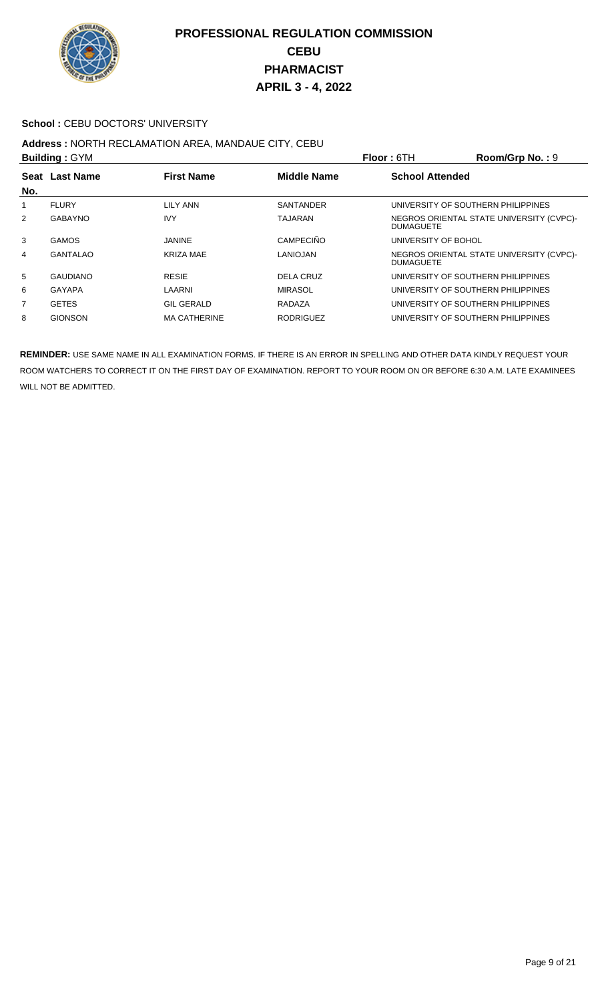

#### School : CEBU DOCTORS' UNIVERSITY

# **Address :** NORTH RECLAMATION AREA, MANDAUE CITY, CEBU

| <b>Building: GYM</b> |                                                           |                     |                  | <b>Floor: 6TH</b>      | Room/Grp No.: 9                          |
|----------------------|-----------------------------------------------------------|---------------------|------------------|------------------------|------------------------------------------|
|                      | <b>Middle Name</b><br>Seat Last Name<br><b>First Name</b> |                     |                  | <b>School Attended</b> |                                          |
| No.                  |                                                           |                     |                  |                        |                                          |
|                      | <b>FLURY</b>                                              | LILY ANN            | <b>SANTANDER</b> |                        | UNIVERSITY OF SOUTHERN PHILIPPINES       |
| $\overline{2}$       | <b>GABAYNO</b>                                            | <b>IVY</b>          | TAJARAN          | <b>DUMAGUETE</b>       | NEGROS ORIENTAL STATE UNIVERSITY (CVPC)- |
| 3                    | <b>GAMOS</b>                                              | <b>JANINE</b>       | <b>CAMPECIÑO</b> | UNIVERSITY OF BOHOL    |                                          |
| 4                    | <b>GANTALAO</b>                                           | <b>KRIZA MAE</b>    | LANIOJAN         | <b>DUMAGUETE</b>       | NEGROS ORIENTAL STATE UNIVERSITY (CVPC)- |
| 5                    | <b>GAUDIANO</b>                                           | <b>RESIE</b>        | DELA CRUZ        |                        | UNIVERSITY OF SOUTHERN PHILIPPINES       |
| 6                    | GAYAPA                                                    | LAARNI              | <b>MIRASOL</b>   |                        | UNIVERSITY OF SOUTHERN PHILIPPINES       |
| 7                    | <b>GETES</b>                                              | <b>GIL GERALD</b>   | RADAZA           |                        | UNIVERSITY OF SOUTHERN PHILIPPINES       |
| 8                    | <b>GIONSON</b>                                            | <b>MA CATHERINE</b> | <b>RODRIGUEZ</b> |                        | UNIVERSITY OF SOUTHERN PHILIPPINES       |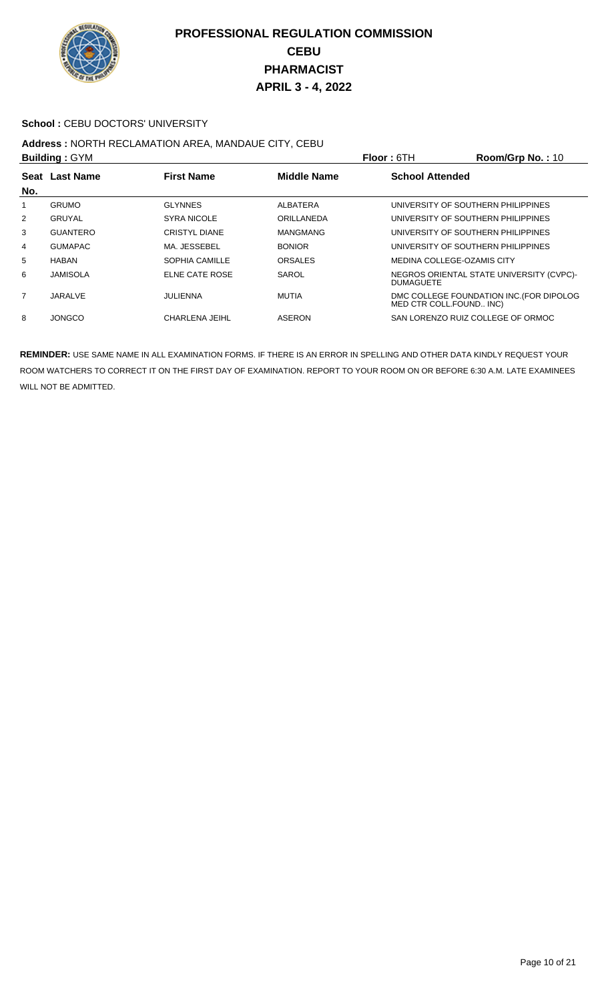

#### School : CEBU DOCTORS' UNIVERSITY

## **Address :** NORTH RECLAMATION AREA, MANDAUE CITY, CEBU

| <b>Building: GYM</b> |                 |                       |                    | <b>Floor: 6TH</b>                  | Room/Grp No.: 10                         |
|----------------------|-----------------|-----------------------|--------------------|------------------------------------|------------------------------------------|
|                      | Seat Last Name  | <b>First Name</b>     | <b>Middle Name</b> | <b>School Attended</b>             |                                          |
| No.                  |                 |                       |                    |                                    |                                          |
|                      | <b>GRUMO</b>    | <b>GLYNNES</b>        | ALBATERA           | UNIVERSITY OF SOUTHERN PHILIPPINES |                                          |
| $\overline{2}$       | <b>GRUYAL</b>   | <b>SYRA NICOLE</b>    | ORILLANEDA         | UNIVERSITY OF SOUTHERN PHILIPPINES |                                          |
| 3                    | <b>GUANTERO</b> | <b>CRISTYL DIANE</b>  | <b>MANGMANG</b>    | UNIVERSITY OF SOUTHERN PHILIPPINES |                                          |
| 4                    | <b>GUMAPAC</b>  | MA. JESSEBEL          | <b>BONIOR</b>      | UNIVERSITY OF SOUTHERN PHILIPPINES |                                          |
| 5                    | <b>HABAN</b>    | SOPHIA CAMILLE        | <b>ORSALES</b>     | MEDINA COLLEGE-OZAMIS CITY         |                                          |
| 6                    | <b>JAMISOLA</b> | <b>ELNE CATE ROSE</b> | SAROL              | <b>DUMAGUETE</b>                   | NEGROS ORIENTAL STATE UNIVERSITY (CVPC)- |
| $\overline{7}$       | JARALVE         | JULIENNA              | <b>MUTIA</b>       | MED CTR COLL.FOUND INC)            | DMC COLLEGE FOUNDATION INC. (FOR DIPOLOG |
| 8                    | <b>JONGCO</b>   | CHARLENA JEIHL        | ASERON             | SAN LORENZO RUIZ COLLEGE OF ORMOC  |                                          |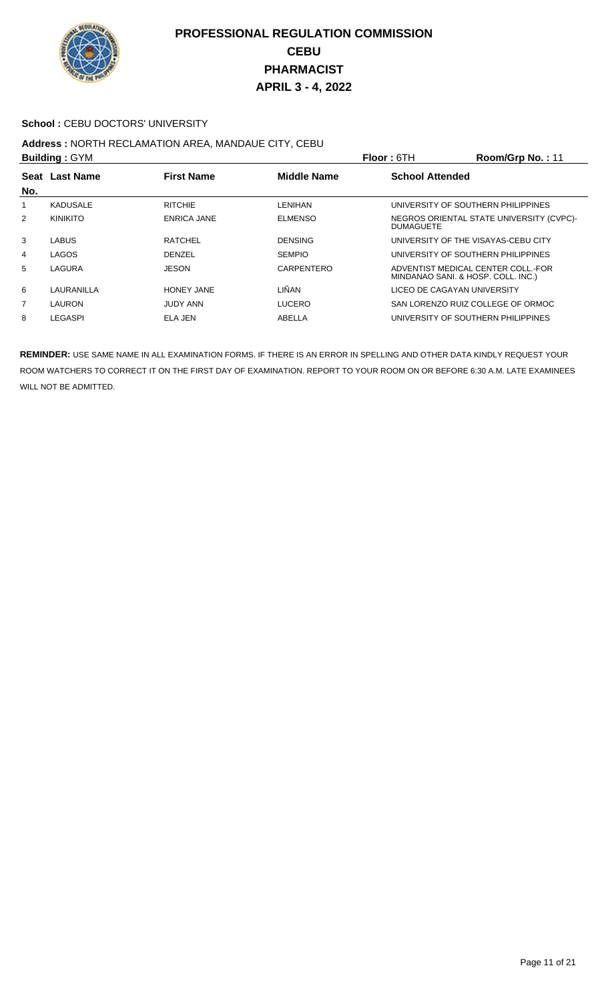

#### School : CEBU DOCTORS' UNIVERSITY

## **Address :** NORTH RECLAMATION AREA, MANDAUE CITY, CEBU

| <b>Building: GYM</b> |                                                           |                    |                | <b>Floor: 6TH</b>      | Room/Grp No.: 11                                                         |
|----------------------|-----------------------------------------------------------|--------------------|----------------|------------------------|--------------------------------------------------------------------------|
|                      | Seat Last Name<br><b>First Name</b><br><b>Middle Name</b> |                    |                | <b>School Attended</b> |                                                                          |
| No.                  |                                                           |                    |                |                        |                                                                          |
|                      | <b>KADUSALE</b>                                           | <b>RITCHIE</b>     | LENIHAN        |                        | UNIVERSITY OF SOUTHERN PHILIPPINES                                       |
| 2                    | <b>KINIKITO</b>                                           | <b>ENRICA JANE</b> | <b>ELMENSO</b> | <b>DUMAGUETE</b>       | NEGROS ORIENTAL STATE UNIVERSITY (CVPC)-                                 |
| 3                    | <b>LABUS</b>                                              | <b>RATCHEL</b>     | <b>DENSING</b> |                        | UNIVERSITY OF THE VISAYAS-CEBU CITY                                      |
| 4                    | LAGOS                                                     | <b>DENZEL</b>      | <b>SEMPIO</b>  |                        | UNIVERSITY OF SOUTHERN PHILIPPINES                                       |
| 5                    | LAGURA                                                    | <b>JESON</b>       | CARPENTERO     |                        | ADVENTIST MEDICAL CENTER COLL.-FOR<br>MINDANAO SANI. & HOSP. COLL. INC.) |
| 6                    | LAURANILLA                                                | <b>HONEY JANE</b>  | LIÑAN          |                        | LICEO DE CAGAYAN UNIVERSITY                                              |
| $\overline{7}$       | LAURON                                                    | <b>JUDY ANN</b>    | <b>LUCERO</b>  |                        | SAN LORENZO RUIZ COLLEGE OF ORMOC                                        |
| 8                    | LEGASPI                                                   | ELA JEN            | ABELLA         |                        | UNIVERSITY OF SOUTHERN PHILIPPINES                                       |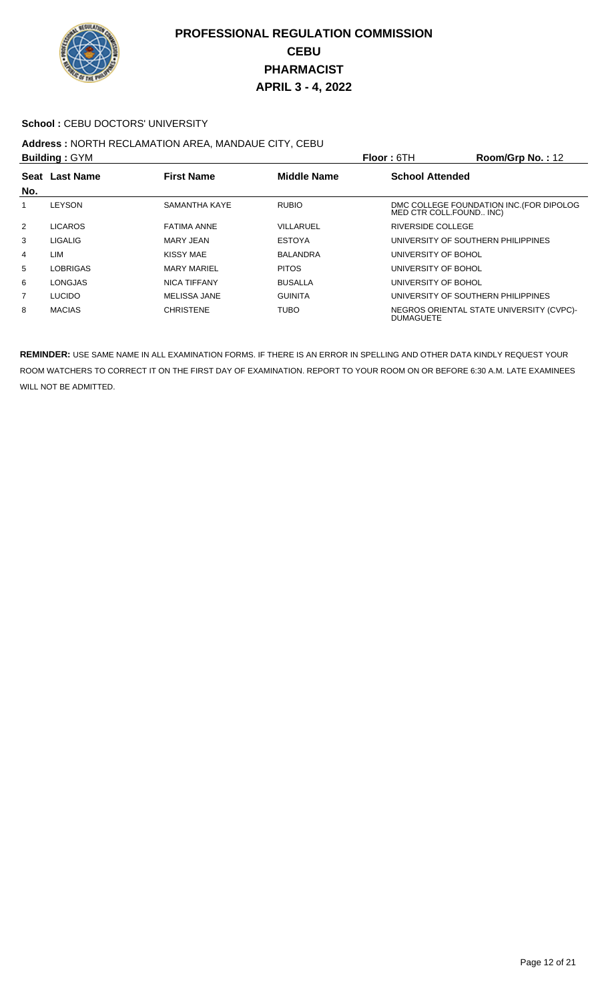

#### School : CEBU DOCTORS' UNIVERSITY

## **Address :** NORTH RECLAMATION AREA, MANDAUE CITY, CEBU

| <b>Building: GYM</b> |                |                     |                    | <b>Floor: 6TH</b>      | Room/Grp No.: 12                                                    |
|----------------------|----------------|---------------------|--------------------|------------------------|---------------------------------------------------------------------|
| No.                  | Seat Last Name | <b>First Name</b>   | <b>Middle Name</b> | <b>School Attended</b> |                                                                     |
|                      | <b>LEYSON</b>  | SAMANTHA KAYE       | <b>RUBIO</b>       |                        | DMC COLLEGE FOUNDATION INC. (FOR DIPOLOG<br>MED CTR COLL.FOUND INC) |
| 2                    | <b>LICAROS</b> | <b>FATIMA ANNE</b>  | VILLARUEL          | RIVERSIDE COLLEGE      |                                                                     |
| 3                    | <b>LIGALIG</b> | <b>MARY JEAN</b>    | <b>ESTOYA</b>      |                        | UNIVERSITY OF SOUTHERN PHILIPPINES                                  |
| 4                    | LIM            | KISSY MAE           | BALANDRA           | UNIVERSITY OF BOHOL    |                                                                     |
| 5                    | LOBRIGAS       | <b>MARY MARIEL</b>  | <b>PITOS</b>       | UNIVERSITY OF BOHOL    |                                                                     |
| 6                    | <b>LONGJAS</b> | <b>NICA TIFFANY</b> | <b>BUSALLA</b>     | UNIVERSITY OF BOHOL    |                                                                     |
| $\overline{7}$       | <b>LUCIDO</b>  | <b>MELISSA JANE</b> | <b>GUINITA</b>     |                        | UNIVERSITY OF SOUTHERN PHILIPPINES                                  |
| 8                    | <b>MACIAS</b>  | <b>CHRISTENE</b>    | <b>TUBO</b>        | <b>DUMAGUETE</b>       | NEGROS ORIENTAL STATE UNIVERSITY (CVPC)-                            |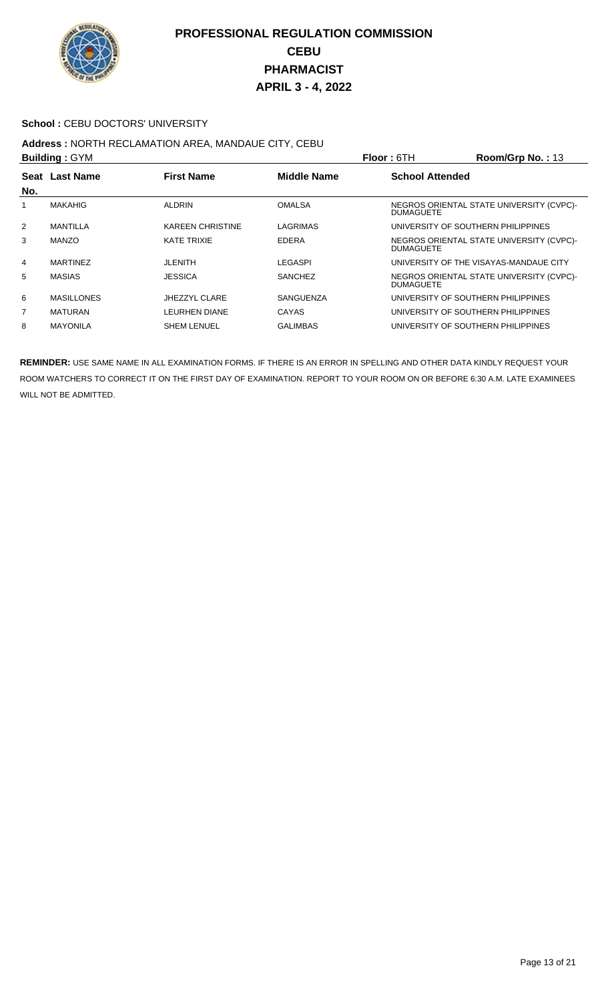

#### School : CEBU DOCTORS' UNIVERSITY

## **Address :** NORTH RECLAMATION AREA, MANDAUE CITY, CEBU

|     | <b>Building: GYM</b> |                         |                    | <b>Floor: 6TH</b>                  | Room/Grp No.: 13                         |
|-----|----------------------|-------------------------|--------------------|------------------------------------|------------------------------------------|
|     | Seat Last Name       | <b>First Name</b>       | <b>Middle Name</b> | <b>School Attended</b>             |                                          |
| No. |                      |                         |                    |                                    |                                          |
|     | <b>MAKAHIG</b>       | <b>ALDRIN</b>           | <b>OMALSA</b>      | <b>DUMAGUETE</b>                   | NEGROS ORIENTAL STATE UNIVERSITY (CVPC)- |
| 2   | <b>MANTILLA</b>      | <b>KAREEN CHRISTINE</b> | LAGRIMAS           | UNIVERSITY OF SOUTHERN PHILIPPINES |                                          |
| 3   | <b>MANZO</b>         | <b>KATE TRIXIE</b>      | <b>EDERA</b>       | <b>DUMAGUETE</b>                   | NEGROS ORIENTAL STATE UNIVERSITY (CVPC)- |
| 4   | <b>MARTINEZ</b>      | JLENITH                 | LEGASPI            |                                    | UNIVERSITY OF THE VISAYAS-MANDAUE CITY   |
| 5   | <b>MASIAS</b>        | <b>JESSICA</b>          | <b>SANCHEZ</b>     | <b>DUMAGUETE</b>                   | NEGROS ORIENTAL STATE UNIVERSITY (CVPC)- |
| 6   | <b>MASILLONES</b>    | JHEZZYL CLARE           | SANGUENZA          | UNIVERSITY OF SOUTHERN PHILIPPINES |                                          |
| 7   | <b>MATURAN</b>       | <b>LEURHEN DIANE</b>    | <b>CAYAS</b>       | UNIVERSITY OF SOUTHERN PHILIPPINES |                                          |
| 8   | <b>MAYONILA</b>      | <b>SHEM LENUEL</b>      | <b>GALIMBAS</b>    | UNIVERSITY OF SOUTHERN PHILIPPINES |                                          |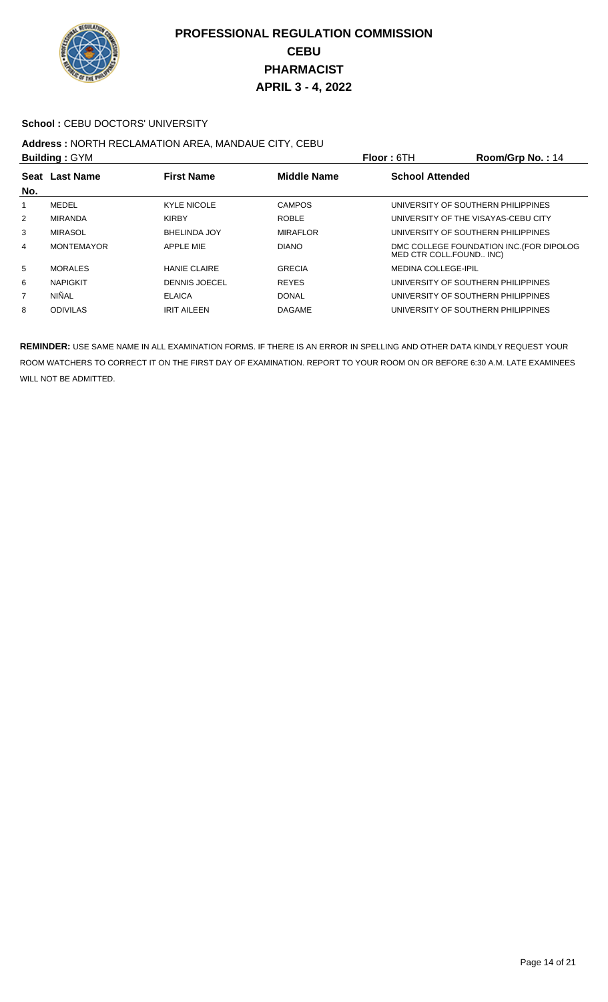

#### School : CEBU DOCTORS' UNIVERSITY

## **Address : NORTH RECLAMATION AREA, MANDAUE CITY, CEBU<br>Building : CYM**

| <b>Building: GYM</b> |                   |                      |                    | <b>Floor: 6TH</b>                   | Room/Grp No.: 14                         |
|----------------------|-------------------|----------------------|--------------------|-------------------------------------|------------------------------------------|
| Seat<br>No.          | <b>Last Name</b>  | <b>First Name</b>    | <b>Middle Name</b> | <b>School Attended</b>              |                                          |
|                      | MEDEL             | <b>KYLE NICOLE</b>   | <b>CAMPOS</b>      | UNIVERSITY OF SOUTHERN PHILIPPINES  |                                          |
| $\overline{2}$       | MIRANDA           | <b>KIRBY</b>         | <b>ROBLE</b>       | UNIVERSITY OF THE VISAYAS-CEBU CITY |                                          |
| 3                    | <b>MIRASOL</b>    | <b>BHELINDA JOY</b>  | <b>MIRAFLOR</b>    | UNIVERSITY OF SOUTHERN PHILIPPINES  |                                          |
| 4                    | <b>MONTEMAYOR</b> | <b>APPLE MIE</b>     | <b>DIANO</b>       | MED CTR COLL.FOUND INC)             | DMC COLLEGE FOUNDATION INC. (FOR DIPOLOG |
| 5                    | <b>MORALES</b>    | <b>HANIE CLAIRE</b>  | <b>GRECIA</b>      | <b>MEDINA COLLEGE-IPIL</b>          |                                          |
| 6                    | <b>NAPIGKIT</b>   | <b>DENNIS JOECEL</b> | <b>REYES</b>       | UNIVERSITY OF SOUTHERN PHILIPPINES  |                                          |
| 7                    | NIÑAL             | <b>ELAICA</b>        | <b>DONAL</b>       | UNIVERSITY OF SOUTHERN PHILIPPINES  |                                          |
| 8                    | <b>ODIVILAS</b>   | <b>IRIT AILEEN</b>   | <b>DAGAME</b>      | UNIVERSITY OF SOUTHERN PHILIPPINES  |                                          |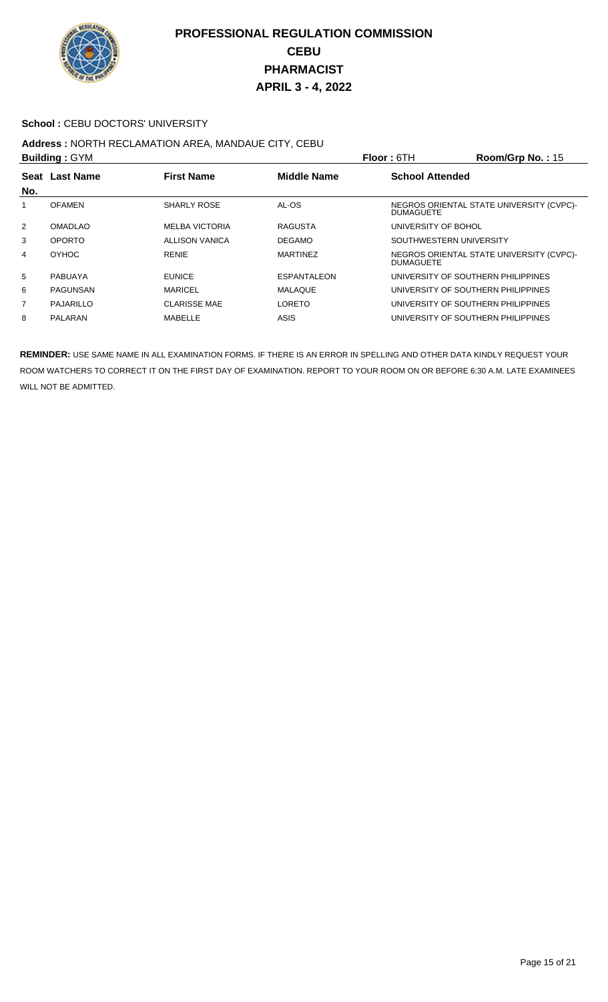

#### School : CEBU DOCTORS' UNIVERSITY

#### **Address :** NORTH RECLAMATION AREA, MANDAUE CITY, CEBU **Building :** GYM **Floor :** 6TH **Room/Grp No. :** 15

| <b>DUILUILLY . OT IVE</b> |                |                       |                    | FIUUL. UIII<br><b>NUUTINUI U INU.</b> . 19                   |
|---------------------------|----------------|-----------------------|--------------------|--------------------------------------------------------------|
| No.                       | Seat Last Name | <b>First Name</b>     | <b>Middle Name</b> | <b>School Attended</b>                                       |
|                           | <b>OFAMEN</b>  | SHARLY ROSE           | AL-OS              | NEGROS ORIENTAL STATE UNIVERSITY (CVPC)-<br><b>DUMAGUETE</b> |
| 2                         | <b>OMADLAO</b> | <b>MELBA VICTORIA</b> | <b>RAGUSTA</b>     | UNIVERSITY OF BOHOL                                          |
| 3                         | <b>OPORTO</b>  | <b>ALLISON VANICA</b> | <b>DEGAMO</b>      | SOUTHWESTERN UNIVERSITY                                      |
| 4                         | <b>OYHOC</b>   | RENIE                 | <b>MARTINEZ</b>    | NEGROS ORIENTAL STATE UNIVERSITY (CVPC)-<br><b>DUMAGUETE</b> |
| 5                         | <b>PABUAYA</b> | <b>EUNICE</b>         | <b>ESPANTALEON</b> | UNIVERSITY OF SOUTHERN PHILIPPINES                           |
| 6                         | PAGUNSAN       | <b>MARICEL</b>        | MALAQUE            | UNIVERSITY OF SOUTHERN PHILIPPINES                           |
| 7                         | PAJARILLO      | <b>CLARISSE MAE</b>   | <b>LORETO</b>      | UNIVERSITY OF SOUTHERN PHILIPPINES                           |
| 8                         | PALARAN        | MABELLE               | <b>ASIS</b>        | UNIVERSITY OF SOUTHERN PHILIPPINES                           |
|                           |                |                       |                    |                                                              |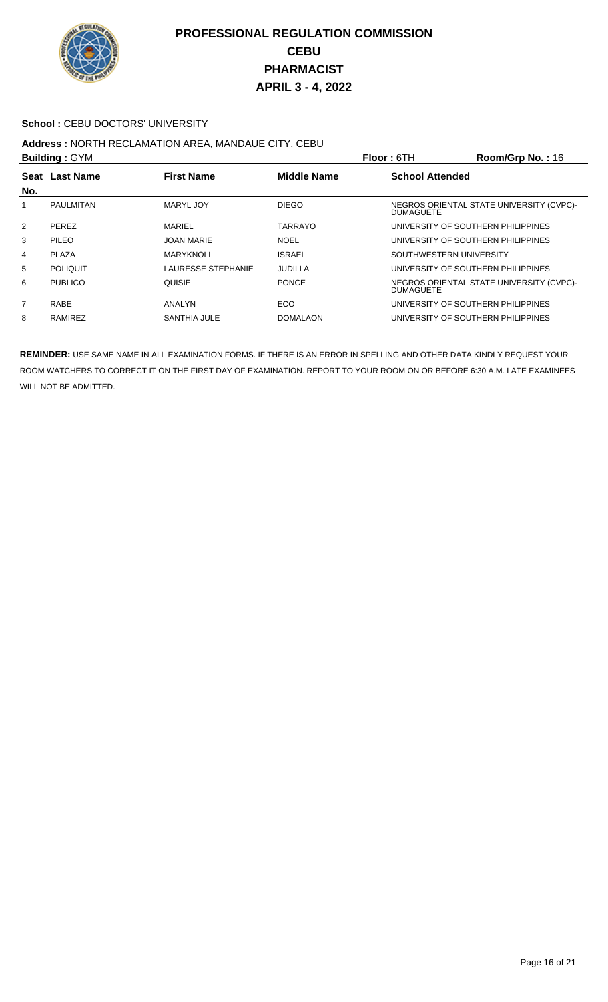

#### School : CEBU DOCTORS' UNIVERSITY

## **Address :** NORTH RECLAMATION AREA, MANDAUE CITY, CEBU

|                | <b>Building: GYM</b> |                           |                    | <b>Floor: 6TH</b>                  | Room/Grp No.: 16                         |
|----------------|----------------------|---------------------------|--------------------|------------------------------------|------------------------------------------|
|                | Seat Last Name       | <b>First Name</b>         | <b>Middle Name</b> | <b>School Attended</b>             |                                          |
| No.            |                      |                           |                    |                                    |                                          |
|                | <b>PAULMITAN</b>     | MARYL JOY                 | <b>DIEGO</b>       | <b>DUMAGUETE</b>                   | NEGROS ORIENTAL STATE UNIVERSITY (CVPC)- |
| $\overline{2}$ | <b>PEREZ</b>         | <b>MARIEL</b>             | <b>TARRAYO</b>     | UNIVERSITY OF SOUTHERN PHILIPPINES |                                          |
| 3              | <b>PILEO</b>         | <b>JOAN MARIE</b>         | <b>NOEL</b>        | UNIVERSITY OF SOUTHERN PHILIPPINES |                                          |
| 4              | <b>PLAZA</b>         | <b>MARYKNOLL</b>          | <b>ISRAEL</b>      | SOUTHWESTERN UNIVERSITY            |                                          |
| 5              | <b>POLIQUIT</b>      | <b>LAURESSE STEPHANIE</b> | JUDILLA            | UNIVERSITY OF SOUTHERN PHILIPPINES |                                          |
| 6              | <b>PUBLICO</b>       | QUISIE                    | <b>PONCE</b>       | <b>DUMAGUETE</b>                   | NEGROS ORIENTAL STATE UNIVERSITY (CVPC)- |
| $\overline{7}$ | RABE                 | ANALYN                    | ECO                | UNIVERSITY OF SOUTHERN PHILIPPINES |                                          |
| 8              | RAMIREZ              | SANTHIA JULE              | <b>DOMALAON</b>    | UNIVERSITY OF SOUTHERN PHILIPPINES |                                          |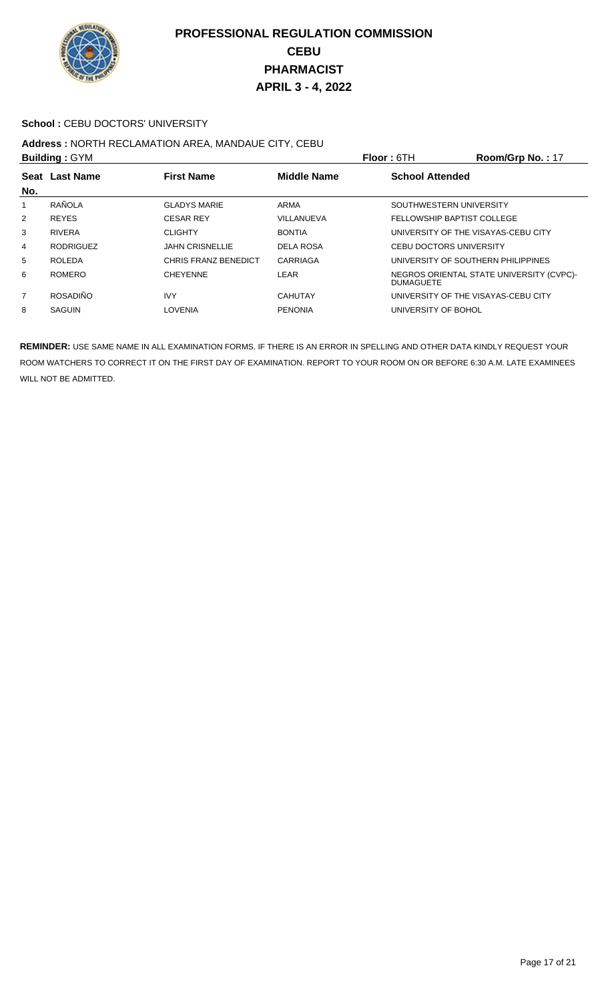

#### **School : CEBU DOCTORS' UNIVERSITY**

## **Address :** NORTH RECLAMATION AREA, MANDAUE CITY, CEBU

| <b>Building: GYM</b> |                  |                             |                    | <b>Floor: 6TH</b>                   | Room/Grp No.: 17                         |
|----------------------|------------------|-----------------------------|--------------------|-------------------------------------|------------------------------------------|
| Seat                 | <b>Last Name</b> | <b>First Name</b>           | <b>Middle Name</b> | <b>School Attended</b>              |                                          |
| No.                  |                  |                             |                    |                                     |                                          |
|                      | RAÑOLA           | <b>GLADYS MARIE</b>         | ARMA               | SOUTHWESTERN UNIVERSITY             |                                          |
| $\overline{2}$       | <b>REYES</b>     | <b>CESAR REY</b>            | VILLANUEVA         | FELLOWSHIP BAPTIST COLLEGE          |                                          |
| 3                    | <b>RIVERA</b>    | <b>CLIGHTY</b>              | <b>BONTIA</b>      | UNIVERSITY OF THE VISAYAS-CEBU CITY |                                          |
| 4                    | <b>RODRIGUEZ</b> | <b>JAHN CRISNELLIE</b>      | DELA ROSA          | <b>CEBU DOCTORS UNIVERSITY</b>      |                                          |
| 5                    | <b>ROLEDA</b>    | <b>CHRIS FRANZ BENEDICT</b> | CARRIAGA           | UNIVERSITY OF SOUTHERN PHILIPPINES  |                                          |
| 6                    | <b>ROMERO</b>    | <b>CHEYENNE</b>             | <b>LEAR</b>        | <b>DUMAGUETE</b>                    | NEGROS ORIENTAL STATE UNIVERSITY (CVPC)- |
| 7                    | <b>ROSADIÑO</b>  | <b>IVY</b>                  | <b>CAHUTAY</b>     | UNIVERSITY OF THE VISAYAS-CEBU CITY |                                          |
| 8                    | <b>SAGUIN</b>    | <b>LOVENIA</b>              | <b>PENONIA</b>     | UNIVERSITY OF BOHOL                 |                                          |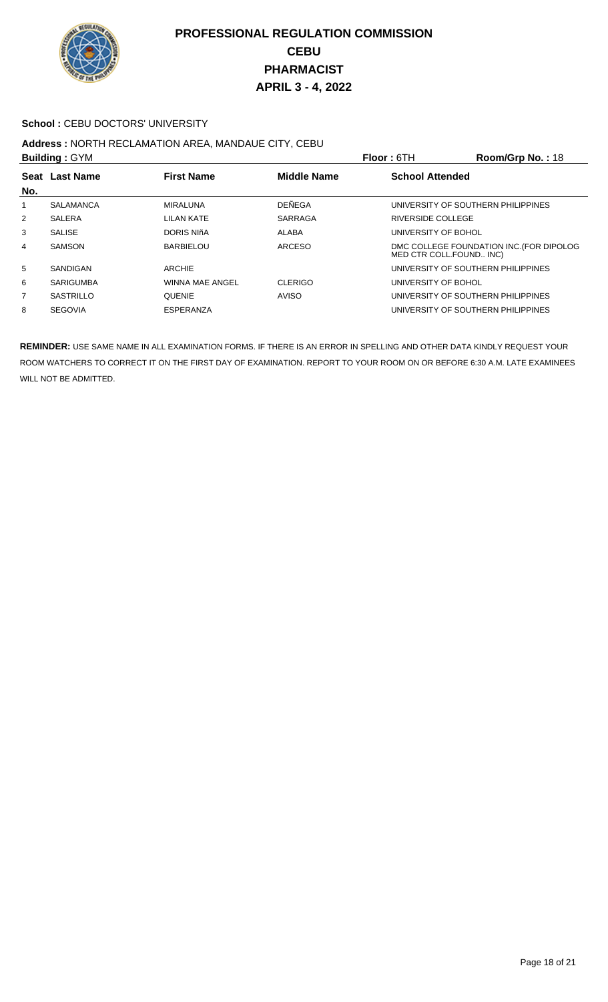

#### School : CEBU DOCTORS' UNIVERSITY

## **Address :** NORTH RECLAMATION AREA, MANDAUE CITY, CEBU

| <b>Building: GYM</b> |                  |                        |                    | Room/Grp No.: 18<br>Floor: 6TH     |                                          |
|----------------------|------------------|------------------------|--------------------|------------------------------------|------------------------------------------|
|                      | Seat Last Name   | <b>First Name</b>      | <b>Middle Name</b> | <b>School Attended</b>             |                                          |
| No.                  |                  |                        |                    |                                    |                                          |
|                      | <b>SALAMANCA</b> | MIRALUNA               | <b>DEÑEGA</b>      | UNIVERSITY OF SOUTHERN PHILIPPINES |                                          |
| 2                    | <b>SALERA</b>    | LILAN KATE             | <b>SARRAGA</b>     | <b>RIVERSIDE COLLEGE</b>           |                                          |
| 3                    | <b>SALISE</b>    | DORIS NIñA             | ALABA              | UNIVERSITY OF BOHOL                |                                          |
| 4                    | <b>SAMSON</b>    | <b>BARBIELOU</b>       | <b>ARCESO</b>      | MED CTR COLL.FOUND INC)            | DMC COLLEGE FOUNDATION INC. (FOR DIPOLOG |
| 5                    | SANDIGAN         | <b>ARCHIE</b>          |                    | UNIVERSITY OF SOUTHERN PHILIPPINES |                                          |
| 6                    | <b>SARIGUMBA</b> | <b>WINNA MAE ANGEL</b> | <b>CLERIGO</b>     | UNIVERSITY OF BOHOL                |                                          |
| $\overline{7}$       | SASTRILLO        | <b>QUENIE</b>          | <b>AVISO</b>       | UNIVERSITY OF SOUTHERN PHILIPPINES |                                          |
| 8                    | <b>SEGOVIA</b>   | <b>ESPERANZA</b>       |                    | UNIVERSITY OF SOUTHERN PHILIPPINES |                                          |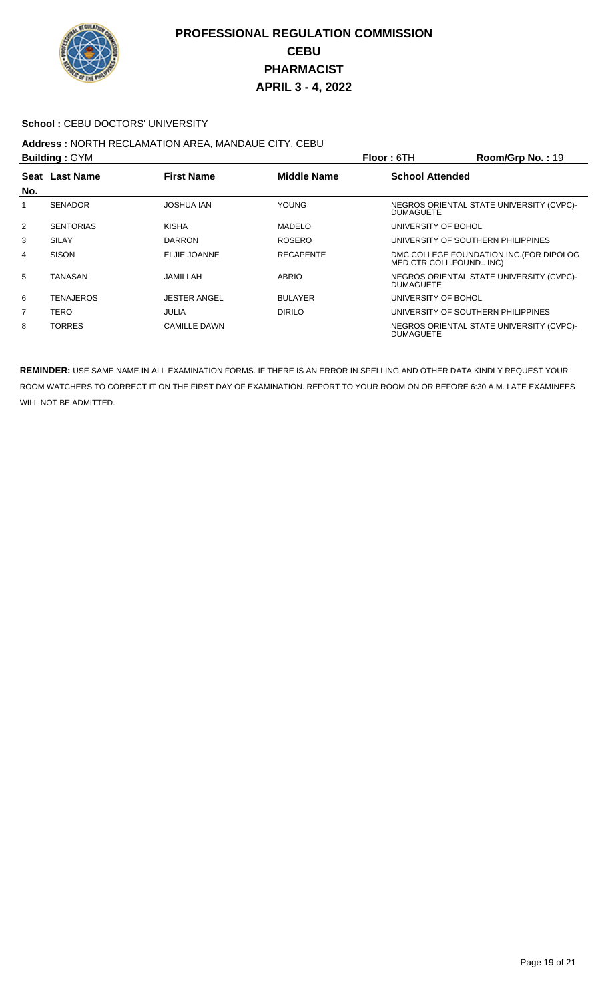

#### School : CEBU DOCTORS' UNIVERSITY

#### **Address :** NORTH RECLAMATION AREA, MANDAUE CITY, CEBU **Building :** GYM **Floor :** 6TH **Room/Grp No. :** 19

|                | <b>Bullaing:</b> GYM |                     |                    | <b>FIOOT:</b> 0 I H<br>$\text{K}$ $\text{C}$ $\text{C}$ $\text{C}$ $\text{C}$ $\text{C}$ $\text{C}$ $\text{C}$ $\text{C}$ $\text{C}$ $\text{C}$ $\text{C}$ $\text{C}$ $\text{C}$ $\text{C}$ $\text{C}$ $\text{C}$ $\text{C}$ $\text{C}$ $\text{C}$ $\text{C}$ $\text{C}$ $\text{C}$ $\text{C}$ $\text{C}$ $\text{C}$ $\text{C}$ $\text{C$ |
|----------------|----------------------|---------------------|--------------------|-------------------------------------------------------------------------------------------------------------------------------------------------------------------------------------------------------------------------------------------------------------------------------------------------------------------------------------------|
| No.            | Seat Last Name       | <b>First Name</b>   | <b>Middle Name</b> | <b>School Attended</b>                                                                                                                                                                                                                                                                                                                    |
| 1              | <b>SENADOR</b>       | JOSHUA IAN          | <b>YOUNG</b>       | NEGROS ORIENTAL STATE UNIVERSITY (CVPC)-<br><b>DUMAGUETE</b>                                                                                                                                                                                                                                                                              |
| 2              | <b>SENTORIAS</b>     | KISHA               | <b>MADELO</b>      | UNIVERSITY OF BOHOL                                                                                                                                                                                                                                                                                                                       |
| 3              | <b>SILAY</b>         | <b>DARRON</b>       | <b>ROSERO</b>      | UNIVERSITY OF SOUTHERN PHILIPPINES                                                                                                                                                                                                                                                                                                        |
| $\overline{4}$ | <b>SISON</b>         | ELJIE JOANNE        | <b>RECAPENTE</b>   | DMC COLLEGE FOUNDATION INC. (FOR DIPOLOG<br>MED CTR COLL.FOUND INC)                                                                                                                                                                                                                                                                       |
| 5              | TANASAN              | JAMILLAH            | <b>ABRIO</b>       | NEGROS ORIENTAL STATE UNIVERSITY (CVPC)-<br><b>DUMAGUETE</b>                                                                                                                                                                                                                                                                              |
| 6              | TENAJEROS            | <b>JESTER ANGEL</b> | <b>BULAYER</b>     | UNIVERSITY OF BOHOL                                                                                                                                                                                                                                                                                                                       |
| $\overline{7}$ | TERO                 | <b>JULIA</b>        | <b>DIRILO</b>      | UNIVERSITY OF SOUTHERN PHILIPPINES                                                                                                                                                                                                                                                                                                        |
| 8              | <b>TORRES</b>        | <b>CAMILLE DAWN</b> |                    | NEGROS ORIENTAL STATE UNIVERSITY (CVPC)-<br><b>DUMAGUETE</b>                                                                                                                                                                                                                                                                              |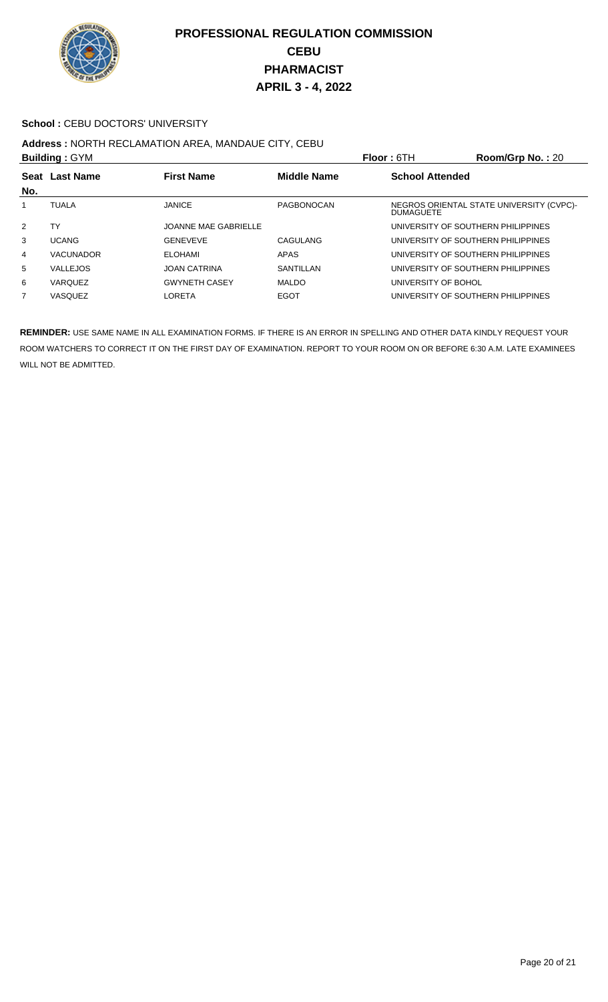

#### School : CEBU DOCTORS' UNIVERSITY

## **Address :** NORTH RECLAMATION AREA, MANDAUE CITY, CEBU

| <b>Building: GYM</b> |                  |                             |                    | <b>Floor: 6TH</b>                  | Room/Grp No.: 20                         |
|----------------------|------------------|-----------------------------|--------------------|------------------------------------|------------------------------------------|
|                      | Seat Last Name   | <b>First Name</b>           | <b>Middle Name</b> | <b>School Attended</b>             |                                          |
| No.                  |                  |                             |                    |                                    |                                          |
|                      | <b>TUALA</b>     | <b>JANICE</b>               | PAGBONOCAN         | <b>DUMAGUETE</b>                   | NEGROS ORIENTAL STATE UNIVERSITY (CVPC)- |
| 2                    | TΥ               | <b>JOANNE MAE GABRIELLE</b> |                    | UNIVERSITY OF SOUTHERN PHILIPPINES |                                          |
| 3                    | <b>UCANG</b>     | <b>GENEVEVE</b>             | CAGULANG           | UNIVERSITY OF SOUTHERN PHILIPPINES |                                          |
| 4                    | <b>VACUNADOR</b> | <b>ELOHAMI</b>              | APAS               | UNIVERSITY OF SOUTHERN PHILIPPINES |                                          |
| 5                    | <b>VALLEJOS</b>  | <b>JOAN CATRINA</b>         | SANTILLAN          | UNIVERSITY OF SOUTHERN PHILIPPINES |                                          |
| 6                    | <b>VARQUEZ</b>   | <b>GWYNETH CASEY</b>        | <b>MALDO</b>       | UNIVERSITY OF BOHOL                |                                          |
| 7                    | <b>VASQUEZ</b>   | LORETA                      | <b>EGOT</b>        | UNIVERSITY OF SOUTHERN PHILIPPINES |                                          |